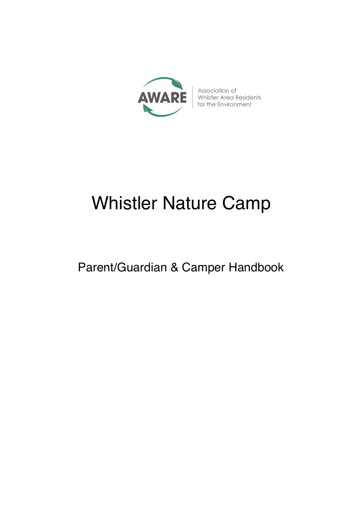

Association of Whistler Area Residents for the Environment

# Whistler Nature Camp

Parent/Guardian & Camper Handbook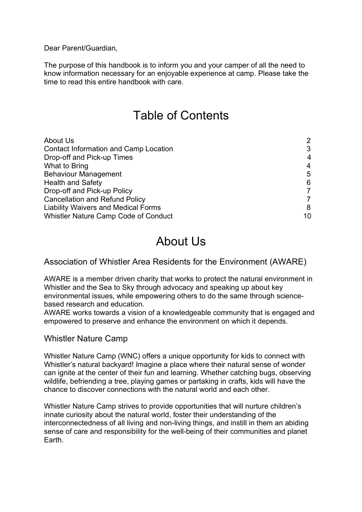Dear Parent/Guardian,

The purpose of this handbook is to inform you and your camper of all the need to know information necessary for an enjoyable experience at camp. Please take the time to read this entire handbook with care.

### Table of Contents

| About Us                                     | $\overline{2}$ |
|----------------------------------------------|----------------|
| <b>Contact Information and Camp Location</b> | 3              |
| Drop-off and Pick-up Times                   | 4              |
| What to Bring                                | 4              |
| <b>Behaviour Management</b>                  | 5              |
| <b>Health and Safety</b>                     | 6              |
| Drop-off and Pick-up Policy                  |                |
| <b>Cancellation and Refund Policy</b>        |                |
| <b>Liability Waivers and Medical Forms</b>   | 8              |
| <b>Whistler Nature Camp Code of Conduct</b>  | 10             |

### About Us

#### Association of Whistler Area Residents for the Environment (AWARE)

AWARE is a member driven charity that works to protect the natural environment in Whistler and the Sea to Sky through advocacy and speaking up about key environmental issues, while empowering others to do the same through sciencebased research and education.

AWARE works towards a vision of a knowledgeable community that is engaged and empowered to preserve and enhance the environment on which it depends.

#### Whistler Nature Camp

Whistler Nature Camp (WNC) offers a unique opportunity for kids to connect with Whistler's natural backyard! Imagine a place where their natural sense of wonder can ignite at the center of their fun and learning. Whether catching bugs, observing wildlife, befriending a tree, playing games or partaking in crafts, kids will have the chance to discover connections with the natural world and each other.

Whistler Nature Camp strives to provide opportunities that will nurture children's innate curiosity about the natural world, foster their understanding of the interconnectedness of all living and non-living things, and instill in them an abiding sense of care and responsibility for the well-being of their communities and planet Earth.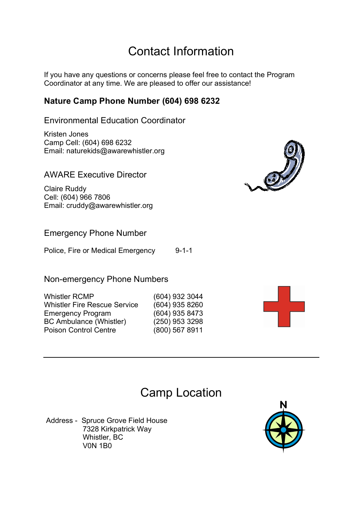# Contact Information

If you have any questions or concerns please feel free to contact the Program Coordinator at any time. We are pleased to offer our assistance!

### **Nature Camp Phone Number (604) 698 6232**

Environmental Education Coordinator

Kristen Jones Camp Cell: (604) 698 6232 Email: naturekids@awarewhistler.org

AWARE Executive Director

Claire Ruddy Cell: (604) 966 7806 Email: cruddy@awarewhistler.org

### Emergency Phone Number

Police, Fire or Medical Emergency 9-1-1

Non-emergency Phone Numbers

| <b>Whistler RCMP</b>                | (604) 932 3044 |
|-------------------------------------|----------------|
| <b>Whistler Fire Rescue Service</b> | (604) 935 8260 |
| <b>Emergency Program</b>            | (604) 935 8473 |
| <b>BC Ambulance (Whistler)</b>      | (250) 953 3298 |
| <b>Poison Control Centre</b>        | (800) 567 8911 |





### Camp Location

Address - Spruce Grove Field House 7328 Kirkpatrick Way Whistler, BC V0N 1B0

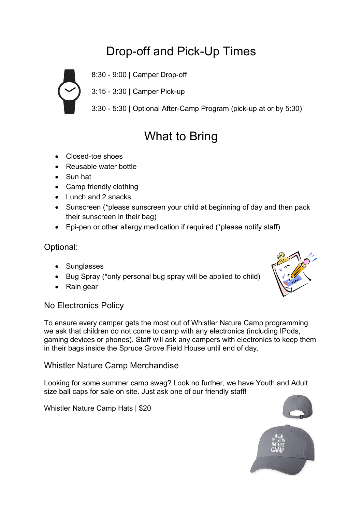# Drop-off and Pick-Up Times



8:30 - 9:00 | Camper Drop-off

3:15 - 3:30 | Camper Pick-up

3:30 - 5:30 | Optional After-Camp Program (pick-up at or by 5:30)

# What to Bring

- Closed-toe shoes
- Reusable water bottle
- Sun hat
- Camp friendly clothing
- Lunch and 2 snacks
- Sunscreen (\*please sunscreen your child at beginning of day and then pack their sunscreen in their bag)
- Epi-pen or other allergy medication if required (\*please notify staff)

### Optional:

- Sunglasses
- Bug Spray (\*only personal bug spray will be applied to child)
- Rain gear

### No Electronics Policy

To ensure every camper gets the most out of Whistler Nature Camp programming we ask that children do not come to camp with any electronics (including IPods, gaming devices or phones). Staff will ask any campers with electronics to keep them in their bags inside the Spruce Grove Field House until end of day.

### Whistler Nature Camp Merchandise

Looking for some summer camp swag? Look no further, we have Youth and Adult size ball caps for sale on site. Just ask one of our friendly staff!

Whistler Nature Camp Hats | \$20



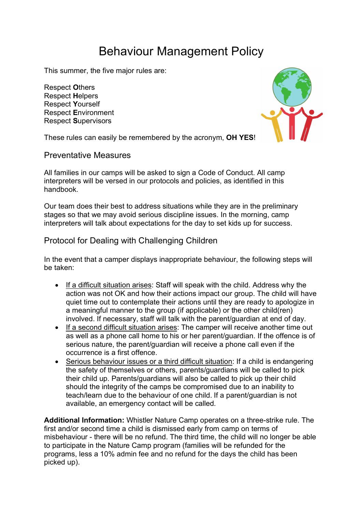# Behaviour Management Policy

This summer, the five major rules are:

Respect **O**thers Respect **H**elpers Respect **Y**ourself Respect **E**nvironment Respect **S**upervisors



These rules can easily be remembered by the acronym, **OH YES**!

#### Preventative Measures

All families in our camps will be asked to sign a Code of Conduct. All camp interpreters will be versed in our protocols and policies, as identified in this handbook.

Our team does their best to address situations while they are in the preliminary stages so that we may avoid serious discipline issues. In the morning, camp interpreters will talk about expectations for the day to set kids up for success.

### Protocol for Dealing with Challenging Children

In the event that a camper displays inappropriate behaviour, the following steps will be taken:

- If a difficult situation arises: Staff will speak with the child. Address why the action was not OK and how their actions impact our group. The child will have quiet time out to contemplate their actions until they are ready to apologize in a meaningful manner to the group (if applicable) or the other child(ren) involved. If necessary, staff will talk with the parent/guardian at end of day.
- If a second difficult situation arises: The camper will receive another time out as well as a phone call home to his or her parent/guardian. If the offence is of serious nature, the parent/guardian will receive a phone call even if the occurrence is a first offence.
- Serious behaviour issues or a third difficult situation: If a child is endangering the safety of themselves or others, parents/guardians will be called to pick their child up. Parents/guardians will also be called to pick up their child should the integrity of the camps be compromised due to an inability to teach/learn due to the behaviour of one child. If a parent/guardian is not available, an emergency contact will be called.

**Additional Information:** Whistler Nature Camp operates on a three-strike rule. The first and/or second time a child is dismissed early from camp on terms of misbehaviour - there will be no refund. The third time, the child will no longer be able to participate in the Nature Camp program (families will be refunded for the programs, less a 10% admin fee and no refund for the days the child has been picked up).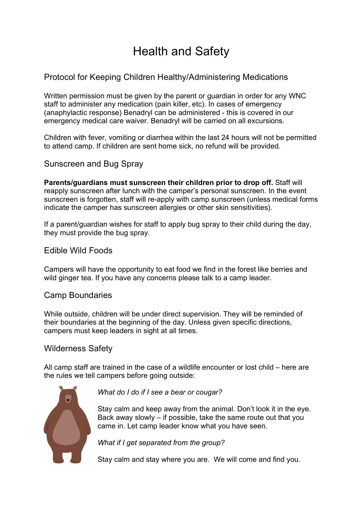# Health and Safety

### Protocol for Keeping Children Healthy/Administering Medications

Written permission must be given by the parent or guardian in order for any WNC staff to administer any medication (pain killer, etc). In cases of emergency (anaphylactic response) Benadryl can be administered - this is covered in our emergency medical care waiver. Benadryl will be carried on all excursions.

Children with fever, vomiting or diarrhea within the last 24 hours will not be permitted to attend camp. If children are sent home sick, no refund will be provided.

#### Sunscreen and Bug Spray

**Parents/guardians must sunscreen their children prior to drop off.** Staff will reapply sunscreen after lunch with the camper's personal sunscreen. In the event sunscreen is forgotten, staff will re-apply with camp sunscreen (unless medical forms indicate the camper has sunscreen allergies or other skin sensitivities).

If a parent/guardian wishes for staff to apply bug spray to their child during the day, they must provide the bug spray.

#### Edible Wild Foods

Campers will have the opportunity to eat food we find in the forest like berries and wild ginger tea. If you have any concerns please talk to a camp leader.

#### Camp Boundaries

While outside, children will be under direct supervision. They will be reminded of their boundaries at the beginning of the day. Unless given specific directions, campers must keep leaders in sight at all times.

#### Wilderness Safety

All camp staff are trained in the case of a wildlife encounter or lost child – here are the rules we tell campers before going outside:



*What do I do if I see a bear or cougar?*

Stay calm and keep away from the animal. Don't look it in the eye. Back away slowly – if possible, take the same route out that you came in. Let camp leader know what you have seen.

*What if I get separated from the group?*

Stay calm and stay where you are. We will come and find you.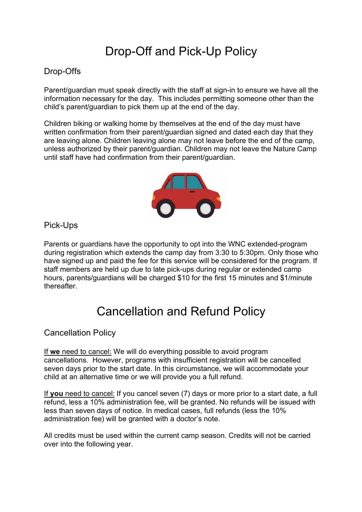# Drop-Off and Pick-Up Policy

### Drop-Offs

Parent/guardian must speak directly with the staff at sign-in to ensure we have all the information necessary for the day. This includes permitting someone other than the child's parent/guardian to pick them up at the end of the day.

Children biking or walking home by themselves at the end of the day must have written confirmation from their parent/guardian signed and dated each day that they are leaving alone. Children leaving alone may not leave before the end of the camp, unless authorized by their parent/guardian. Children may not leave the Nature Camp until staff have had confirmation from their parent/guardian.



Pick-Ups

Parents or guardians have the opportunity to opt into the WNC extended-program during registration which extends the camp day from 3:30 to 5:30pm. Only those who have signed up and paid the fee for this service will be considered for the program. If staff members are held up due to late pick-ups during regular or extended camp hours, parents/guardians will be charged \$10 for the first 15 minutes and \$1/minute thereafter.

# Cancellation and Refund Policy

Cancellation Policy

If **we** need to cancel: We will do everything possible to avoid program cancellations. However, programs with insufficient registration will be cancelled seven days prior to the start date. In this circumstance, we will accommodate your child at an alternative time or we will provide you a full refund.

If **you** need to cancel: If you cancel seven (7) days or more prior to a start date, a full refund, less a 10% administration fee, will be granted. No refunds will be issued with less than seven days of notice. In medical cases, full refunds (less the 10% administration fee) will be granted with a doctor's note.

All credits must be used within the current camp season. Credits will not be carried over into the following year.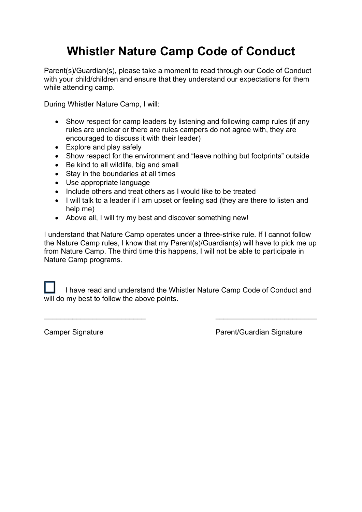# **Whistler Nature Camp Code of Conduct**

Parent(s)/Guardian(s), please take a moment to read through our Code of Conduct with your child/children and ensure that they understand our expectations for them while attending camp.

During Whistler Nature Camp, I will:

- Show respect for camp leaders by listening and following camp rules (if any rules are unclear or there are rules campers do not agree with, they are encouraged to discuss it with their leader)
- Explore and play safely
- Show respect for the environment and "leave nothing but footprints" outside
- Be kind to all wildlife, big and small
- Stay in the boundaries at all times
- Use appropriate language
- Include others and treat others as I would like to be treated
- I will talk to a leader if I am upset or feeling sad (they are there to listen and help me)
- Above all, I will try my best and discover something new!

I understand that Nature Camp operates under a three-strike rule. If I cannot follow the Nature Camp rules, I know that my Parent(s)/Guardian(s) will have to pick me up from Nature Camp. The third time this happens, I will not be able to participate in Nature Camp programs.

 I have read and understand the Whistler Nature Camp Code of Conduct and will do my best to follow the above points.

 $\mathcal{L}_\text{max}$  , and the contract of the contract of the contract of the contract of the contract of the contract of the contract of the contract of the contract of the contract of the contract of the contract of the contr

Camper Signature **Camper Signature Parent/Guardian Signature**